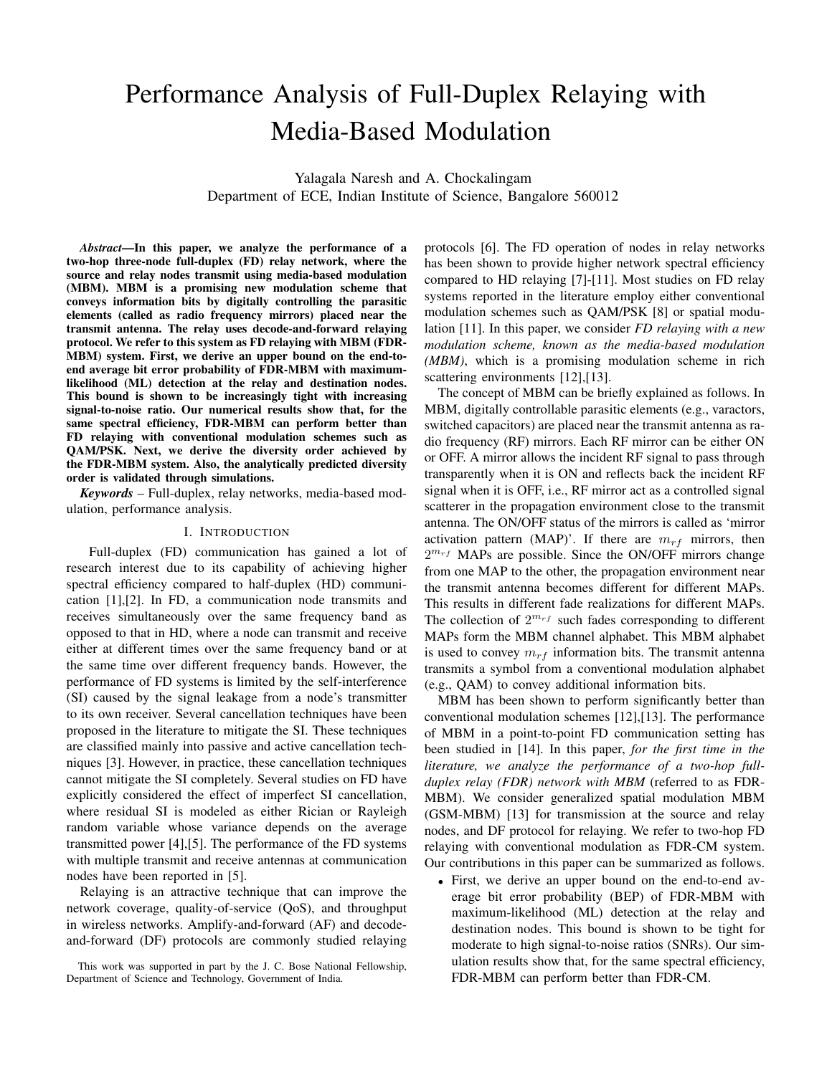# Performance Analysis of Full-Duplex Relaying with Media-Based Modulation

Yalagala Naresh and A. Chockalingam Department of ECE, Indian Institute of Science, Bangalore 560012

*Abstract*—In this paper, we analyze the performance of a two-hop three-node full-duplex (FD) relay network, where the source and relay nodes transmit using media-based modulation (MBM). MBM is a promising new modulation scheme that conveys information bits by digitally controlling the parasitic elements (called as radio frequency mirrors) placed near the transmit antenna. The relay uses decode-and-forward relaying protocol. We refer to this system as FD relaying with MBM (FDR-MBM) system. First, we derive an upper bound on the end-toend average bit error probability of FDR-MBM with maximumlikelihood (ML) detection at the relay and destination nodes. This bound is shown to be increasingly tight with increasing signal-to-noise ratio. Our numerical results show that, for the same spectral efficiency, FDR-MBM can perform better than FD relaying with conventional modulation schemes such as QAM/PSK. Next, we derive the diversity order achieved by the FDR-MBM system. Also, the analytically predicted diversity order is validated through simulations.

*Keywords* – Full-duplex, relay networks, media-based modulation, performance analysis.

## I. INTRODUCTION

Full-duplex (FD) communication has gained a lot of research interest due to its capability of achieving higher spectral efficiency compared to half-duplex (HD) communication [1],[2]. In FD, a communication node transmits and receives simultaneously over the same frequency band as opposed to that in HD, where a node can transmit and receive either at different times over the same frequency band or at the same time over different frequency bands. However, the performance of FD systems is limited by the self-interference (SI) caused by the signal leakage from a node's transmitter to its own receiver. Several cancellation techniques have been proposed in the literature to mitigate the SI. These techniques are classified mainly into passive and active cancellation techniques [3]. However, in practice, these cancellation techniques cannot mitigate the SI completely. Several studies on FD have explicitly considered the effect of imperfect SI cancellation, where residual SI is modeled as either Rician or Rayleigh random variable whose variance depends on the average transmitted power [4],[5]. The performance of the FD systems with multiple transmit and receive antennas at communication nodes have been reported in [5].

Relaying is an attractive technique that can improve the network coverage, quality-of-service (QoS), and throughput in wireless networks. Amplify-and-forward (AF) and decodeand-forward (DF) protocols are commonly studied relaying protocols [6]. The FD operation of nodes in relay networks has been shown to provide higher network spectral efficiency compared to HD relaying [7]-[11]. Most studies on FD relay systems reported in the literature employ either conventional modulation schemes such as QAM/PSK [8] or spatial modulation [11]. In this paper, we consider *FD relaying with a new modulation scheme, known as the media-based modulation (MBM)*, which is a promising modulation scheme in rich scattering environments [12],[13].

The concept of MBM can be briefly explained as follows. In MBM, digitally controllable parasitic elements (e.g., varactors, switched capacitors) are placed near the transmit antenna as radio frequency (RF) mirrors. Each RF mirror can be either ON or OFF. A mirror allows the incident RF signal to pass through transparently when it is ON and reflects back the incident RF signal when it is OFF, i.e., RF mirror act as a controlled signal scatterer in the propagation environment close to the transmit antenna. The ON/OFF status of the mirrors is called as 'mirror activation pattern (MAP)'. If there are  $m_{rf}$  mirrors, then 2 *<sup>m</sup>rf* MAPs are possible. Since the ON/OFF mirrors change from one MAP to the other, the propagation environment near the transmit antenna becomes different for different MAPs. This results in different fade realizations for different MAPs. The collection of  $2^{m_{rf}}$  such fades corresponding to different MAPs form the MBM channel alphabet. This MBM alphabet is used to convey  $m_{rf}$  information bits. The transmit antenna transmits a symbol from a conventional modulation alphabet (e.g., QAM) to convey additional information bits.

MBM has been shown to perform significantly better than conventional modulation schemes [12],[13]. The performance of MBM in a point-to-point FD communication setting has been studied in [14]. In this paper, *for the first time in the literature, we analyze the performance of a two-hop fullduplex relay (FDR) network with MBM* (referred to as FDR-MBM). We consider generalized spatial modulation MBM (GSM-MBM) [13] for transmission at the source and relay nodes, and DF protocol for relaying. We refer to two-hop FD relaying with conventional modulation as FDR-CM system. Our contributions in this paper can be summarized as follows.

*•* First, we derive an upper bound on the end-to-end average bit error probability (BEP) of FDR-MBM with maximum-likelihood (ML) detection at the relay and destination nodes. This bound is shown to be tight for moderate to high signal-to-noise ratios (SNRs). Our simulation results show that, for the same spectral efficiency, FDR-MBM can perform better than FDR-CM.

This work was supported in part by the J. C. Bose National Fellowship, Department of Science and Technology, Government of India.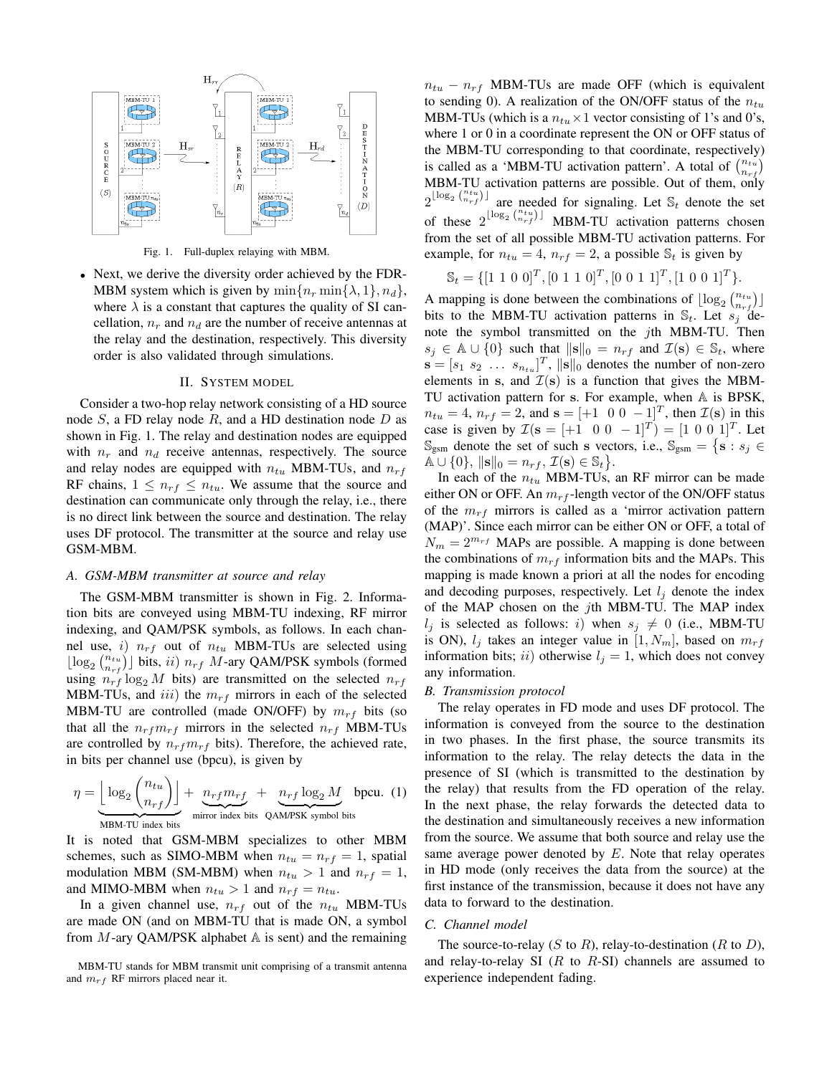

Fig. 1. Full-duplex relaying with MBM.

*•* Next, we derive the diversity order achieved by the FDR-MBM system which is given by  $\min\{n_r \min\{\lambda, 1\}, n_d\}$ , where  $\lambda$  is a constant that captures the quality of SI cancellation,  $n_r$  and  $n_d$  are the number of receive antennas at the relay and the destination, respectively. This diversity order is also validated through simulations.

#### II. SYSTEM MODEL

Consider a two-hop relay network consisting of a HD source node *S*, a FD relay node *R*, and a HD destination node *D* as shown in Fig. 1. The relay and destination nodes are equipped with  $n_r$  and  $n_d$  receive antennas, respectively. The source and relay nodes are equipped with *ntu* MBM-TUs, and *nrf* RF chains,  $1 \leq n_{rf} \leq n_{tu}$ . We assume that the source and destination can communicate only through the relay, i.e., there is no direct link between the source and destination. The relay uses DF protocol. The transmitter at the source and relay use GSM-MBM.

## *A. GSM-MBM transmitter at source and relay*

The GSM-MBM transmitter is shown in Fig. 2. Information bits are conveyed using MBM-TU indexing, RF mirror indexing, and QAM/PSK symbols, as follows. In each channel use, *i*) *nrf* out of *ntu* MBM-TUs are selected using  $\lfloor \log_2 {n_{trj} \choose n_{rf}} \rfloor$  bits, *ii*)  $n_{rf}$  *M*-ary QAM/PSK symbols (formed using  $n_{rf} \log_2 M$  bits) are transmitted on the selected  $n_{rf}$ MBM-TUs, and *iii*) the *mrf* mirrors in each of the selected MBM-TU are controlled (made ON/OFF) by  $m_{rf}$  bits (so that all the  $n_{rf}m_{rf}$  mirrors in the selected  $n_{rf}$  MBM-TUs are controlled by  $n_{rf}m_{rf}$  bits). Therefore, the achieved rate, in bits per channel use (bpcu), is given by

$$
\eta = \underbrace{\left\lfloor \log_2 \binom{n_{tu}}{n_{rf}} \right\rfloor}_{\text{MBM-TU index bits}} + \underbrace{n_{rf} m_{rf}}_{\text{mirror index bits}} + \underbrace{n_{rf} \log_2 M}_{\text{QAM/PSK symbol bits}}
$$

It is noted that GSM-MBM specializes to other MBM schemes, such as SIMO-MBM when  $n_{tu} = n_{rf} = 1$ , spatial modulation MBM (SM-MBM) when  $n_{tu} > 1$  and  $n_{rf} = 1$ , and MIMO-MBM when  $n_{tu} > 1$  and  $n_{rf} = n_{tu}$ .

In a given channel use,  $n_{rf}$  out of the  $n_{tu}$  MBM-TUs are made ON (and on MBM-TU that is made ON, a symbol from *M*-ary QAM/PSK alphabet A is sent) and the remaining

MBM-TU stands for MBM transmit unit comprising of a transmit antenna and *mrf* RF mirrors placed near it.

 $n_{tu} - n_{rf}$  MBM-TUs are made OFF (which is equivalent to sending 0). A realization of the ON/OFF status of the *ntu* MBM-TUs (which is a  $n_{tu} \times 1$  vector consisting of 1's and 0's, where 1 or 0 in a coordinate represent the ON or OFF status of the MBM-TU corresponding to that coordinate, respectively) is called as a 'MBM-TU activation pattern'. A total of  $\binom{n_{tu}}{n_{rf}}$ MBM-TU activation patterns are possible. Out of them, only  $2^{\lfloor \log_2 \binom{n_{t_u}}{n_{rf}} \rfloor}$  are needed for signaling. Let  $\mathcal{S}_t$  denote the set of these  $2^{\lfloor \log_2 \binom{n_{tu}}{n_{rf}} \rfloor}$  MBM-TU activation patterns chosen from the set of all possible MBM-TU activation patterns. For example, for  $n_{tu} = 4$ ,  $n_{rf} = 2$ , a possible  $\mathcal{S}_t$  is given by

$$
\mathbb{S}_t = \{ [1 \ 1 \ 0 \ 0]^T, [0 \ 1 \ 1 \ 0]^T, [0 \ 0 \ 1 \ 1]^T, [1 \ 0 \ 0 \ 1]^T \}.
$$

A mapping is done between the combinations of  $\lfloor log_2 \binom{n_{tu}}{n_{rf}} \rfloor$ bits to the MBM-TU activation patterns in  $\mathbb{S}_t$ . Let  $s_j$  denote the symbol transmitted on the *j*th MBM-TU. Then *s*<sup>*j*</sup>  $\in$  A *∪* {0} such that  $\|\mathbf{s}\|_0 = n_{rf}$  and  $\mathcal{I}(\mathbf{s}) \in \mathbb{S}_t$ , where  $\mathbf{s} = [s_1 \ s_2 \ \dots \ s_{n_{tu}}]^T$ ,  $\|\mathbf{s}\|_0$  denotes the number of non-zero elements in **s**, and  $\mathcal{I}(\mathbf{s})$  is a function that gives the MBM-TU activation pattern for **s**. For example, when A is BPSK,  $n_{tu} = 4$ ,  $n_{rf} = 2$ , and  $\mathbf{s} = [+1 \ 0 \ 0 \ -1]^T$ , then  $\mathcal{I}(\mathbf{s})$  in this case is given by  $\mathcal{I}(\mathbf{s} = [+1 \ 0 \ 0 \ -1]^T) = [1 \ 0 \ 0 \ 1]^T$ . Let  $\mathbb{S}_{\text{gsm}}$  denote the set of such **s** vectors, i.e.,  $\mathbb{S}_{\text{gsm}} = \{ \mathbf{s} : s_j \in \mathbb{S} \}$  $\mathbb{A} \cup \{0\}, \, \|\mathbf{s}\|_0 = n_{rf}, \, \mathcal{I}(\mathbf{s}) \in \mathbb{S}_t\}.$ 

In each of the *ntu* MBM-TUs, an RF mirror can be made either ON or OFF. An *mrf* -length vector of the ON/OFF status of the *mrf* mirrors is called as a 'mirror activation pattern (MAP)'. Since each mirror can be either ON or OFF, a total of  $N_m = 2^{m_{rf}}$  MAPs are possible. A mapping is done between the combinations of  $m_{rf}$  information bits and the MAPs. This mapping is made known a priori at all the nodes for encoding and decoding purposes, respectively. Let  $l_i$  denote the index of the MAP chosen on the *j*th MBM-TU. The MAP index *l*<sup>*j*</sup> is selected as follows: *i*) when  $s_j \neq 0$  (i.e., MBM-TU is ON),  $l_j$  takes an integer value in  $[1, N_m]$ , based on  $m_{rf}$ information bits; *ii*) otherwise  $l_j = 1$ , which does not convey any information.

## *B. Transmission protocol*

The relay operates in FD mode and uses DF protocol. The information is conveyed from the source to the destination in two phases. In the first phase, the source transmits its information to the relay. The relay detects the data in the presence of SI (which is transmitted to the destination by the relay) that results from the FD operation of the relay. In the next phase, the relay forwards the detected data to the destination and simultaneously receives a new information from the source. We assume that both source and relay use the same average power denoted by *E*. Note that relay operates in HD mode (only receives the data from the source) at the first instance of the transmission, because it does not have any data to forward to the destination.

## *C. Channel model*

The source-to-relay (*S* to *R*), relay-to-destination (*R* to *D*), and relay-to-relay SI (*R* to *R*-SI) channels are assumed to experience independent fading.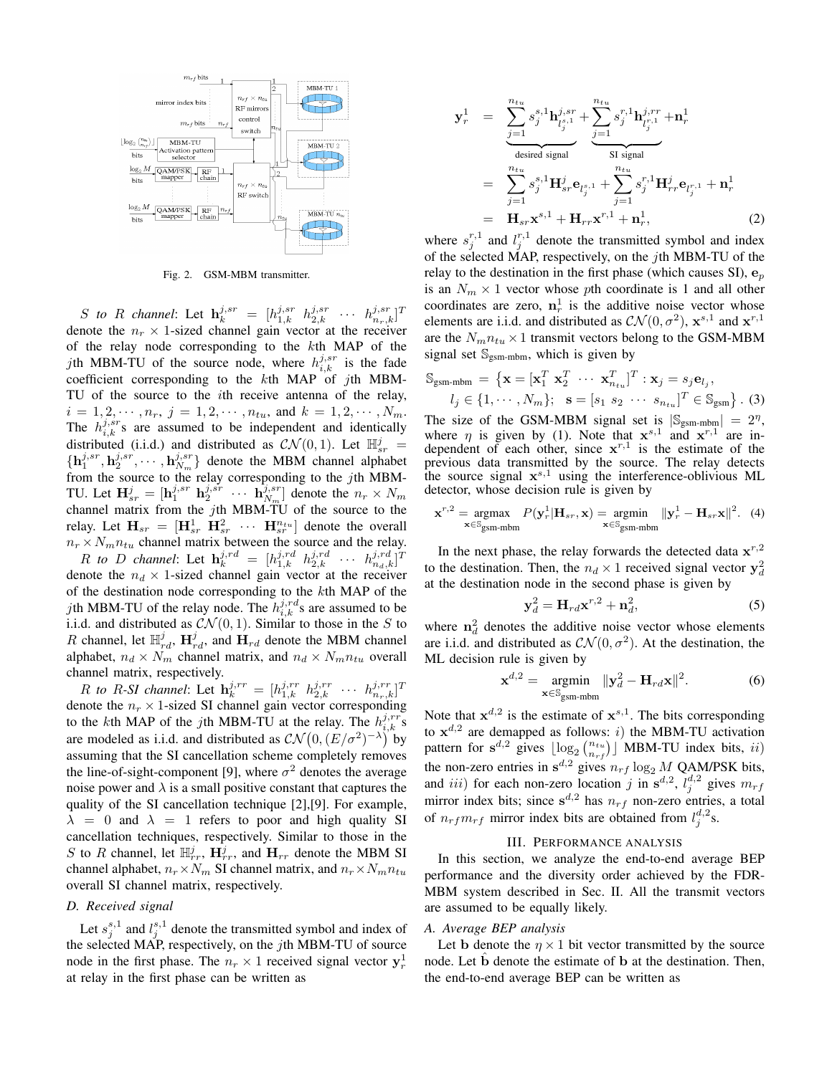

Fig. 2. GSM-MBM transmitter.

*S to R channel*: Let  $\mathbf{h}_k^{j,sr} = [h_{1,k}^{j,sr} \ h_{2,k}^{j,sr} \ \cdots \ h_{n_r,k}^{j,sr}]^T$ denote the  $n_r \times 1$ -sized channel gain vector at the receiver of the relay node corresponding to the *k*th MAP of the *j*th MBM-TU of the source node, where  $h_{i,k}^{j,sr}$  is the fade coefficient corresponding to the *k*th MAP of *j*th MBM-TU of the source to the *i*th receive antenna of the relay,  $i = 1, 2, \dots, n_r, j = 1, 2, \dots, n_{tu}, \text{ and } k = 1, 2, \dots, N_m.$ The  $h_{i,k}^{j,sr}$  are assumed to be independent and identically distributed (i.i.d.) and distributed as  $CN(0,1)$ . Let  $\mathbb{H}_{sr}^{j}$  =  $\{h_1^{j,sr}, h_2^{j,sr}, \cdots, h_{N_m}^{j,sr}\}$  denote the MBM channel alphabet from the source to the relay corresponding to the *j*th MBM-TU. Let  $\mathbf{H}_{sr}^j = [\mathbf{h}_1^{j,sr} \ \mathbf{h}_2^{j,sr} \ \cdots \ \mathbf{h}_{N_m}^{j,sr}]$  denote the  $n_r \times N_m$ channel matrix from the *j*th MBM-TU of the source to the relay. Let  $\mathbf{H}_{sr} = [\mathbf{H}_{sr}^1 \ \mathbf{H}_{sr}^2 \ \cdots \ \mathbf{H}_{sr}^{n_{tu}}]$  denote the overall  $n_r \times N_m n_{tu}$  channel matrix between the source and the relay. *R to D channel*: Let  $\mathbf{h}_k^{j,rd} = [h_{1,k}^{j,rd} \ \ h_{2,k}^{j,rd} \ \ \cdots \ \ h_{n_d,k}^{j,rd}]^T$ 

denote the  $n_d \times 1$ -sized channel gain vector at the receiver of the destination node corresponding to the *k*th MAP of the *j*th MBM-TU of the relay node. The  $h_{i,k}^{j,rd}$  s are assumed to be i.i.d. and distributed as  $\mathcal{CN}(0,1)$ . Similar to those in the *S* to *R* channel, let  $\mathbb{H}^j_{rd}$ ,  $\mathbf{H}^j_{rd}$ , and  $\mathbf{H}_{rd}$  denote the MBM channel alphabet,  $n_d \times N_m$  channel matrix, and  $n_d \times N_m n_{tu}$  overall channel matrix, respectively.

*R to R*-*SI channel*: Let  $\mathbf{h}_k^{j,rr} = [h_{1,k}^{j,rr} h_{2,k}^{j,rr} \cdots h_{n_r,k}^{j,rr}]^T$ denote the  $n_r \times 1$ -sized SI channel gain vector corresponding to the *k*th MAP of the *j*th MBM-TU at the relay. The  $h_{i,k}^{j,rr}$ 's are modeled as i.i.d. and distributed as  $\mathcal{CN}(0,(E/\sigma^2)^{-\lambda})$  by assuming that the SI cancellation scheme completely removes the line-of-sight-component [9], where  $\sigma^2$  denotes the average noise power and  $\lambda$  is a small positive constant that captures the quality of the SI cancellation technique [2],[9]. For example,  $\lambda = 0$  and  $\lambda = 1$  refers to poor and high quality SI cancellation techniques, respectively. Similar to those in the *S* to *R* channel, let  $\mathbb{H}_{rr}^j$ ,  $\mathbf{H}_{rr}^j$ , and  $\mathbf{H}_{rr}$  denote the MBM SI channel alphabet,  $n_r \times N_m$  SI channel matrix, and  $n_r \times N_m n_{tu}$ overall SI channel matrix, respectively.

## *D. Received signal*

Let  $s_j^{s,1}$  and  $l_j^{s,1}$  denote the transmitted symbol and index of the selected MAP, respectively, on the *j*th MBM-TU of source node in the first phase. The  $n_r \times 1$  received signal vector  $y_r^1$ at relay in the first phase can be written as

$$
\mathbf{y}_{r}^{1} = \sum_{j=1}^{n_{tu}} s_{j}^{s,1} \mathbf{h}_{l_{j}^{s,1}}^{j,sr} + \sum_{j=1}^{n_{tu}} s_{j}^{r,1} \mathbf{h}_{l_{j}^{r,1}}^{j,rr} + \mathbf{n}_{r}^{1}
$$
\n
$$
= \sum_{j=1}^{n_{tu}} s_{j}^{s,1} \mathbf{H}_{sr}^{j} \mathbf{e}_{l_{j}^{s,1}} + \sum_{j=1}^{n_{tu}} s_{j}^{r,1} \mathbf{H}_{rr}^{j} \mathbf{e}_{l_{j}^{r,1}} + \mathbf{n}_{r}^{1}
$$
\n
$$
= \mathbf{H}_{sr} \mathbf{x}^{s,1} + \mathbf{H}_{rr} \mathbf{x}^{r,1} + \mathbf{n}_{r}^{1}, \tag{2}
$$

where  $s_j^{r,1}$  and  $l_j^{r,1}$  denote the transmitted symbol and index of the selected MAP, respectively, on the *j*th MBM-TU of the relay to the destination in the first phase (which causes SI),  $\mathbf{e}_p$ is an  $N_m \times 1$  vector whose *p*th coordinate is 1 and all other coordinates are zero,  $n_r^1$  is the additive noise vector whose elements are i.i.d. and distributed as  $\mathcal{CN}(0, \sigma^2)$ ,  $\mathbf{x}^{s,1}$  and  $\mathbf{x}^{r,1}$ are the  $N_m n_{tu} \times 1$  transmit vectors belong to the GSM-MBM signal set  $\mathbb{S}_{\text{gsm-mbm}}$ , which is given by

$$
\mathbb{S}_{\text{gsm-mbm}} = \{ \mathbf{x} = [\mathbf{x}_1^T \ \mathbf{x}_2^T \ \cdots \ \mathbf{x}_{n_{tu}}^T]^T : \mathbf{x}_j = s_j \mathbf{e}_{l_j}, l_j \in \{1, \cdots, N_m\}; \ \mathbf{s} = [s_1 \ s_2 \ \cdots \ s_{n_{tu}}]^T \in \mathbb{S}_{\text{gsm}} \}.
$$
 (3)

The size of the GSM-MBM signal set is  $|S_{\text{gsm-mbm}}| = 2^{\eta}$ , where  $\eta$  is given by (1). Note that  $\mathbf{x}^{s,1}$  and  $\mathbf{x}^{r,1}$  are independent of each other, since  $x^{r,1}$  is the estimate of the previous data transmitted by the source. The relay detects the source signal **x** *s,*<sup>1</sup> using the interference-oblivious ML detector, whose decision rule is given by

$$
\mathbf{x}^{r,2} = \underset{\mathbf{x} \in \mathbb{S}_{\text{gsm-mbm}}}{\text{argmax}} \ P(\mathbf{y}_r^1 | \mathbf{H}_{sr}, \mathbf{x}) = \underset{\mathbf{x} \in \mathbb{S}_{\text{gsm-mbm}}}{\text{argmin}} ||\mathbf{y}_r^1 - \mathbf{H}_{sr} \mathbf{x}||^2. \tag{4}
$$

In the next phase, the relay forwards the detected data  $\mathbf{x}^{r,2}$ to the destination. Then, the  $n_d \times 1$  received signal vector  $y_d^2$ at the destination node in the second phase is given by

$$
\mathbf{y}_d^2 = \mathbf{H}_{rd} \mathbf{x}^{r,2} + \mathbf{n}_d^2,\tag{5}
$$

where  $n_d^2$  denotes the additive noise vector whose elements are i.i.d. and distributed as  $CN(0, \sigma^2)$ . At the destination, the ML decision rule is given by

$$
\mathbf{x}^{d,2} = \underset{\mathbf{x} \in \mathbb{S}_{\text{gsm-mbm}}}{\text{argmin}} \|\mathbf{y}_d^2 - \mathbf{H}_{rd}\mathbf{x}\|^2. \tag{6}
$$

Note that  $x^{d,2}$  is the estimate of  $x^{s,1}$ . The bits corresponding to  $x^{d,2}$  are demapped as follows: *i*) the MBM-TU activation pattern for  $s^{d,2}$  gives  $\lfloor \log_2 {n_{trf} \choose n_{rf}} \rfloor$  MBM-TU index bits, *ii*) the non-zero entries in  $s^{d,2}$  gives  $n_{rf} \log_2 M$  QAM/PSK bits, and *iii*) for each non-zero location *j* in  $\mathbf{s}^{d,2}$ ,  $l_j^{d,2}$  gives  $m_{rf}$ mirror index bits; since  $s^{d,2}$  has  $n_{rf}$  non-zero entries, a total of  $n_{rf}m_{rf}$  mirror index bits are obtained from  $l_j^{d,2}$ s.

## III. PERFORMANCE ANALYSIS

In this section, we analyze the end-to-end average BEP performance and the diversity order achieved by the FDR-MBM system described in Sec. II. All the transmit vectors are assumed to be equally likely.

## *A. Average BEP analysis*

Let **b** denote the  $\eta \times 1$  bit vector transmitted by the source node. Let **b** denote the estimate of **b** at the destination. Then, the end-to-end average BEP can be written as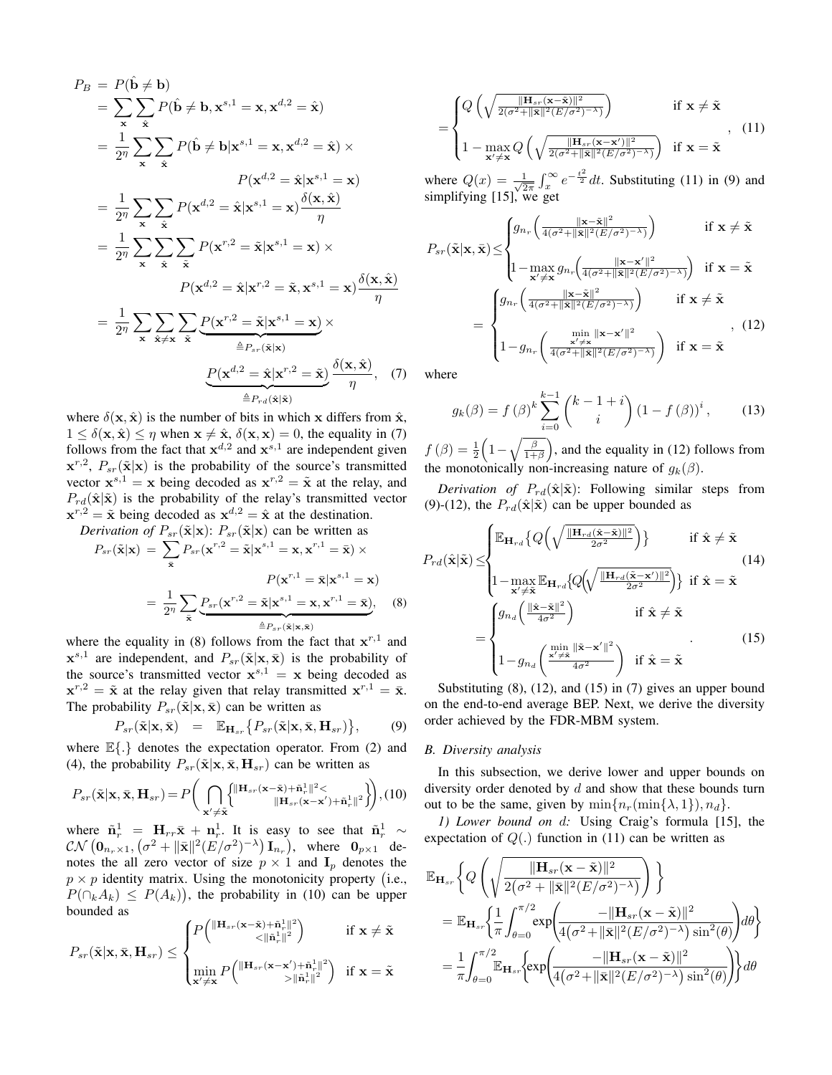$$
P_B = P(\hat{\mathbf{b}} \neq \mathbf{b})
$$
  
\n
$$
= \sum_{\mathbf{x}} \sum_{\hat{\mathbf{x}}} P(\hat{\mathbf{b}} \neq \mathbf{b}, \mathbf{x}^{s,1} = \mathbf{x}, \mathbf{x}^{d,2} = \hat{\mathbf{x}})
$$
  
\n
$$
= \frac{1}{2^{\eta}} \sum_{\mathbf{x}} \sum_{\hat{\mathbf{x}}} P(\hat{\mathbf{b}} \neq \mathbf{b} | \mathbf{x}^{s,1} = \mathbf{x}, \mathbf{x}^{d,2} = \hat{\mathbf{x}}) \times
$$
  
\n
$$
P(\mathbf{x}^{d,2} = \hat{\mathbf{x}} | \mathbf{x}^{s,1} = \mathbf{x})
$$
  
\n
$$
= \frac{1}{2^{\eta}} \sum_{\mathbf{x}} \sum_{\hat{\mathbf{x}}} P(\mathbf{x}^{d,2} = \hat{\mathbf{x}} | \mathbf{x}^{s,1} = \mathbf{x}) \frac{\delta(\mathbf{x}, \hat{\mathbf{x}})}{\eta}
$$
  
\n
$$
= \frac{1}{2^{\eta}} \sum_{\mathbf{x}} \sum_{\hat{\mathbf{x}}} \sum_{\hat{\mathbf{x}}} P(\mathbf{x}^{r,2} = \tilde{\mathbf{x}} | \mathbf{x}^{s,1} = \mathbf{x}) \times
$$
  
\n
$$
P(\mathbf{x}^{d,2} = \hat{\mathbf{x}} | \mathbf{x}^{r,2} = \tilde{\mathbf{x}}, \mathbf{x}^{s,1} = \mathbf{x}) \frac{\delta(\mathbf{x}, \hat{\mathbf{x}})}{\eta}
$$
  
\n
$$
= \frac{1}{2^{\eta}} \sum_{\mathbf{x}} \sum_{\hat{\mathbf{x}} \neq \mathbf{x}} \sum_{\hat{\mathbf{x}}} \underbrace{P(\mathbf{x}^{r,2} = \tilde{\mathbf{x}} | \mathbf{x}^{s,1} = \mathbf{x})}_{\stackrel{\hat{\mathbf{B}}}{=} P_{sr}(\tilde{\mathbf{x}} | \mathbf{x})} \times
$$
  
\n
$$
\underbrace{P(\mathbf{x}^{d,2} = \hat{\mathbf{x}} | \mathbf{x}^{r,2} = \tilde{\mathbf{x}})}_{\stackrel{\hat{\mathbf{B}}}{=} P_{rd}(\hat{\mathbf{x}} | \hat{\mathbf{x}})}_{\stackrel{\hat{\mathbf{B}}}{=
$$

where  $\delta(\mathbf{x}, \hat{\mathbf{x}})$  is the number of bits in which **x** differs from  $\hat{\mathbf{x}}$ ,  $1 \leq \delta(\mathbf{x}, \hat{\mathbf{x}}) \leq \eta$  when  $\mathbf{x} \neq \hat{\mathbf{x}}, \delta(\mathbf{x}, \mathbf{x}) = 0$ , the equality in (7) follows from the fact that  $x^{d,2}$  and  $x^{s,1}$  are independent given  $\mathbf{x}^{r,2}$ ,  $P_{sr}(\tilde{\mathbf{x}}|\mathbf{x})$  is the probability of the source's transmitted vector  $\mathbf{x}^{s,1} = \mathbf{x}$  being decoded as  $\mathbf{x}^{r,2} = \tilde{\mathbf{x}}$  at the relay, and  $P_{rd}(\hat{\mathbf{x}}|\tilde{\mathbf{x}})$  is the probability of the relay's transmitted vector  $\mathbf{x}^{r,2} = \tilde{\mathbf{x}}$  being decoded as  $\mathbf{x}^{d,2} = \hat{\mathbf{x}}$  at the destination.

*Derivation of*  $P_{sr}(\tilde{\mathbf{x}}|\mathbf{x})$ :  $P_{sr}(\tilde{\mathbf{x}}|\mathbf{x})$  can be written as  $P_{sr}(\tilde{\mathbf{x}}|\mathbf{x}) = \sum P_{sr}(\mathbf{x}^{r,2} = \tilde{\mathbf{x}}|\mathbf{x}^{s,1} = \mathbf{x}, \mathbf{x}^{r,1} = \bar{\mathbf{x}})$  × **x**¯  $P(\mathbf{x}^{r,1} = \bar{\mathbf{x}} | \mathbf{x}^{s,1} = \mathbf{x})$  $=\frac{1}{\infty}$  $\frac{1}{2^n}\sum_i$ **x**¯  $P_{sr}(\mathbf{x}^{r,2} = \tilde{\mathbf{x}} | \mathbf{x}^{s,1} = \mathbf{x}, \mathbf{x}^{r,1} = \bar{\mathbf{x}})$  $\triangleq P_{sr}(\tilde{\mathbf{x}}|\mathbf{x},\bar{\mathbf{x}})$ *,* (8)

where the equality in (8) follows from the fact that  $x^{r,1}$  and  $\mathbf{x}^{s,1}$  are independent, and  $P_{sr}(\tilde{\mathbf{x}}|\mathbf{x},\bar{\mathbf{x}})$  is the probability of the source's transmitted vector  $x^{s,1} = x$  being decoded as  $\mathbf{x}^{r,2} = \tilde{\mathbf{x}}$  at the relay given that relay transmitted  $\mathbf{x}^{r,1} = \bar{\mathbf{x}}$ . The probability  $P_{sr}(\tilde{\mathbf{x}}|\mathbf{x},\bar{\mathbf{x}})$  can be written as

$$
P_{sr}(\tilde{\mathbf{x}}|\mathbf{x},\bar{\mathbf{x}}) = \mathbb{E}_{\mathbf{H}_{sr}}\big\{P_{sr}(\tilde{\mathbf{x}}|\mathbf{x},\bar{\mathbf{x}},\mathbf{H}_{sr})\big\},\qquad(9)
$$

where E*{.}* denotes the expectation operator. From (2) and (4), the probability  $P_{sr}(\tilde{\mathbf{x}}|\mathbf{x}, \bar{\mathbf{x}}, \mathbf{H}_{sr})$  can be written as

$$
P_{sr}(\tilde{\mathbf{x}}|\mathbf{x}, \bar{\mathbf{x}}, \mathbf{H}_{sr}) = P\bigg(\bigcap_{\mathbf{x}' \neq \tilde{\mathbf{x}}} \bigg\{\prod_{\mathbf{x}'} \prod_{\mathbf{x}'} \prod_{\mathbf{x}'} \prod_{\mathbf{x}'} \prod_{\mathbf{x}'} \sum_{\mathbf{x} \in \mathbf{x} - \mathbf{x}'} + \tilde{\mathbf{n}}_{r}^{1} \Vert^{2} \bigg\}\bigg), (10)
$$

where  $\tilde{\mathbf{n}}_r^1 = \mathbf{H}_{rr}\bar{\mathbf{x}} + \mathbf{n}_r^1$ . It is easy to see that  $\tilde{\mathbf{n}}_r^1 \sim$  $\mathcal{CN}\left(\mathbf{0}_{n_r\times1}, \left(\sigma^2 + \|\bar{\mathbf{x}}\|^2 (E/\sigma^2)^{-\lambda}\right) \mathbf{I}_{n_r}\right)$ , where  $\mathbf{0}_{p\times1}$  denotes the all zero vector of size  $p \times 1$  and  $\mathbf{I}_p$  denotes the  $p \times p$  identity matrix. Using the monotonicity property (i.e.,  $P(\bigcap_k A_k) \leq P(A_k)$ , the probability in (10) can be upper bounded as

$$
P_{sr}(\tilde{\mathbf{x}}|\mathbf{x}, \bar{\mathbf{x}}, \mathbf{H}_{sr}) \leq \begin{cases} P\left(\frac{\|\mathbf{H}_{sr}(\mathbf{x}-\tilde{\mathbf{x}})+\tilde{\mathbf{n}}_{r}^{1}\|^{2}}{<\|\tilde{\mathbf{n}}_{r}^{1}\|^{2}}\right) & \text{if } \mathbf{x} \neq \tilde{\mathbf{x}} \\ \min_{\mathbf{x}' \neq \mathbf{x}} P\left(\frac{\|\mathbf{H}_{sr}(\mathbf{x}-\mathbf{x}')+\tilde{\mathbf{n}}_{r}^{1}\|^{2}}{> \|\tilde{\mathbf{n}}_{r}^{1}\|^{2}}\right) & \text{if } \mathbf{x} = \tilde{\mathbf{x}} \end{cases}
$$

$$
= \begin{cases} Q\left(\sqrt{\frac{\|\mathbf{H}_{sr}(\mathbf{x}-\tilde{\mathbf{x}})\|^2}{2(\sigma^2+\|\tilde{\mathbf{x}}\|^2(E/\sigma^2)-\lambda)}}\right) & \text{if } \mathbf{x} \neq \tilde{\mathbf{x}} \\ 1 - \max_{\mathbf{x}' \neq \mathbf{x}} Q\left(\sqrt{\frac{\|\mathbf{H}_{sr}(\mathbf{x}-\mathbf{x}')\|^2}{2(\sigma^2+\|\tilde{\mathbf{x}}\|^2(E/\sigma^2)-\lambda)}}\right) & \text{if } \mathbf{x} = \tilde{\mathbf{x}} \end{cases}, \quad (11)
$$

where  $Q(x) = \frac{1}{\sqrt{2}}$  $\frac{1}{2\pi} \int_x^{\infty} e^{-\frac{t^2}{2}} dt$ . Substituting (11) in (9) and simplifying [15], we get

$$
P_{sr}(\tilde{\mathbf{x}}|\mathbf{x},\bar{\mathbf{x}}) \leq \begin{cases} g_{n_r} \left( \frac{\|\mathbf{x} - \tilde{\mathbf{x}}\|^2}{4(\sigma^2 + \|\tilde{\mathbf{x}}\|^2 (E/\sigma^2)^{-\lambda})} \right) & \text{if } \mathbf{x} \neq \tilde{\mathbf{x}} \\ 1 - \max_{\mathbf{x}' \neq \mathbf{x}} g_{n_r} \left( \frac{\|\mathbf{x} - \mathbf{x}'\|^2}{4(\sigma^2 + \|\tilde{\mathbf{x}}\|^2 (E/\sigma^2)^{-\lambda})} \right) & \text{if } \mathbf{x} = \tilde{\mathbf{x}} \end{cases}
$$

$$
= \begin{cases} g_{n_r} \left( \frac{\|\mathbf{x} - \tilde{\mathbf{x}}\|^2}{4(\sigma^2 + \|\tilde{\mathbf{x}}\|^2 (E/\sigma^2)^{-\lambda})} \right) & \text{if } \mathbf{x} \neq \tilde{\mathbf{x}} \\ 1 - g_{n_r} \left( \frac{\min_{\mathbf{x}' \neq \mathbf{x}} \|\mathbf{x} - \mathbf{x}'\|^2}{4(\sigma^2 + \|\tilde{\mathbf{x}}\|^2 (E/\sigma^2)^{-\lambda})} \right) & \text{if } \mathbf{x} = \tilde{\mathbf{x}} \end{cases}, \tag{12}
$$

where

$$
g_k(\beta) = f(\beta)^k \sum_{i=0}^{k-1} {k-1+i \choose i} (1 - f(\beta))^i, \qquad (13)
$$

 $f(\beta) = \frac{1}{2}$  $\left(1-\sqrt{\frac{\beta}{1+\beta}}\right)$ ) , and the equality in (12) follows from the monotonically non-increasing nature of  $q_k(\beta)$ .

*Derivation of*  $P_{rd}(\hat{\mathbf{x}}|\tilde{\mathbf{x}})$ : Following similar steps from (9)-(12), the  $P_{rd}(\hat{\mathbf{x}}|\tilde{\mathbf{x}})$  can be upper bounded as

$$
P_{rd}(\hat{\mathbf{x}}|\tilde{\mathbf{x}}) \leq \begin{cases} \mathbb{E}_{\mathbf{H}_{rd}}\left\{Q\left(\sqrt{\frac{\|\mathbf{H}_{rd}(\hat{\mathbf{x}}-\tilde{\mathbf{x}})\|^2}{2\sigma^2}}\right)\right\} & \text{if } \hat{\mathbf{x}} \neq \tilde{\mathbf{x}} \\ 1-\max_{\mathbf{x}' \neq \tilde{\mathbf{x}}} \mathbb{E}_{\mathbf{H}_{rd}}\left\{Q\left(\sqrt{\frac{\|\mathbf{H}_{rd}(\tilde{\mathbf{x}}-\mathbf{x}')\|^2}{2\sigma^2}}\right)\right\} & \text{if } \hat{\mathbf{x}} = \tilde{\mathbf{x}} \end{cases}
$$
(14)  

$$
= \begin{cases} g_{nd} \left(\frac{\|\hat{\mathbf{x}}-\tilde{\mathbf{x}}\|^2}{4\sigma^2}\right) & \text{if } \hat{\mathbf{x}} \neq \tilde{\mathbf{x}} \\ 1-g_{nd} \left(\frac{\min\|\tilde{\mathbf{x}}-\mathbf{x}'\|^2}{4\sigma^2}\right) & \text{if } \hat{\mathbf{x}} = \tilde{\mathbf{x}} \end{cases}
$$
(15)

Substituting  $(8)$ ,  $(12)$ , and  $(15)$  in  $(7)$  gives an upper bound on the end-to-end average BEP. Next, we derive the diversity order achieved by the FDR-MBM system.

## *B. Diversity analysis*

In this subsection, we derive lower and upper bounds on diversity order denoted by *d* and show that these bounds turn out to be the same, given by  $\min\{n_r(\min\{\lambda, 1\}), n_d\}.$ 

*1) Lower bound on d:* Using Craig's formula [15], the expectation of  $Q(.)$  function in (11) can be written as

$$
\begin{split} \mathbb{E}_{\mathbf{H}_{sr}}&\bigg\{Q\left(\sqrt{\frac{\|\mathbf{H}_{sr}(\mathbf{x}-\tilde{\mathbf{x}})\|^2}{2(\sigma^2+\|\bar{\mathbf{x}}\|^2(E/\sigma^2)^{-\lambda})}}\right)\bigg\}\\ &=\mathbb{E}_{\mathbf{H}_{sr}}\bigg\{\frac{1}{\pi}\int_{\theta=0}^{\pi/2}\!\!\exp\!\left(\!\frac{-\|\mathbf{H}_{sr}(\mathbf{x}-\tilde{\mathbf{x}})\|^2}{4\big(\sigma^2+\|\bar{\mathbf{x}}\|^2(E/\sigma^2)^{-\lambda}\big)\sin^2(\theta)}\!\right)\!d\theta\bigg\}\\ &=\frac{1}{\pi}\!\int_{\theta=0}^{\pi/2}\!\mathbb{E}_{\mathbf{H}_{sr}}\!\left\{\!\exp\!\left(\!\frac{-\|\mathbf{H}_{sr}(\mathbf{x}-\tilde{\mathbf{x}})\|^2}{4\big(\sigma^2+\|\bar{\mathbf{x}}\|^2(E/\sigma^2)^{-\lambda}\big)\sin^2(\theta)}\!\right)\!\right\}\!d\theta\end{split}
$$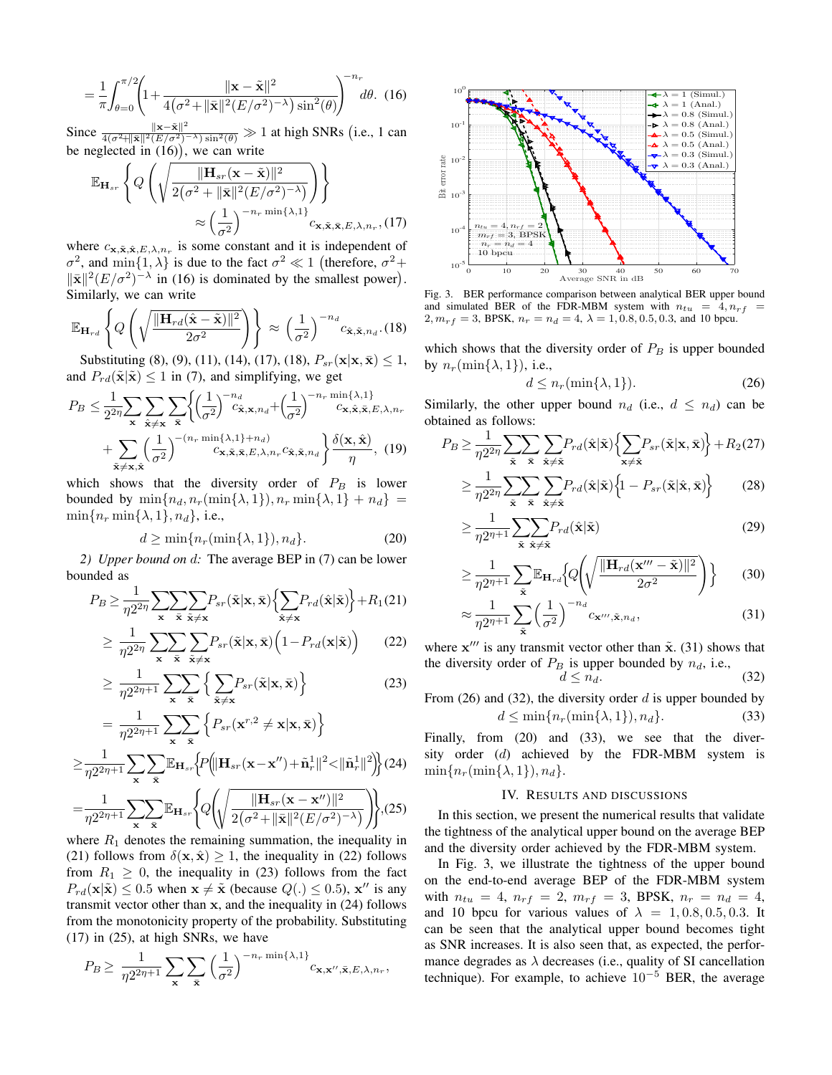$$
= \frac{1}{\pi} \int_{\theta=0}^{\pi/2} \left( 1 + \frac{\|\mathbf{x} - \tilde{\mathbf{x}}\|^2}{4(\sigma^2 + \|\bar{\mathbf{x}}\|^2 (E/\sigma^2)^{-\lambda}) \sin^2(\theta)} \right)^{-n_r} d\theta. \tag{16}
$$

Since  $\frac{\|\mathbf{x}-\tilde{\mathbf{x}}\|^2}{4(\sigma^2 + \|\tilde{\mathbf{x}}\|^2 (E/\sigma^2)^{-\lambda}) \sin^2(\theta)} \gg 1$  at high SNRs (i.e., 1 can be neglected in  $(16)$ , we can write

$$
\mathbb{E}_{\mathbf{H}_{sr}}\left\{Q\left(\sqrt{\frac{\|\mathbf{H}_{sr}(\mathbf{x}-\tilde{\mathbf{x}})\|^2}{2(\sigma^2+\|\bar{\mathbf{x}}\|^2(E/\sigma^2)^{-\lambda})}}\right)\right\}
$$

$$
\approx \left(\frac{1}{\sigma^2}\right)^{-n_r \min\{\lambda,1\}} c_{\mathbf{x},\tilde{\mathbf{x}},\bar{\mathbf{x}},E,\lambda,n_r} , (17)
$$

where  $c_{\mathbf{x}, \tilde{\mathbf{x}}, \tilde{\mathbf{x}}, E, \lambda, n_r}$  is some constant and it is independent of *σ*<sup>2</sup>, and min{1,  $λ$ } is due to the fact  $σ$ <sup>2</sup>  $\ll$  1 (therefore,  $σ$ <sup>2</sup> +  $\|\bar{\mathbf{x}}\|^2 (E/\sigma^2)^{-\lambda}$  in (16) is dominated by the smallest power). Similarly, we can write

$$
\mathbb{E}_{\mathbf{H}_{rd}}\left\{Q\left(\sqrt{\frac{\|\mathbf{H}_{rd}(\hat{\mathbf{x}}-\tilde{\mathbf{x}})\|^2}{2\sigma^2}}\right)\right\} \approx \left(\frac{1}{\sigma^2}\right)^{-n_d} c_{\hat{\mathbf{x}},\tilde{\mathbf{x}},n_d}.\text{(18)}
$$

Substituting (8), (9), (11), (14), (17), (18),  $P_{sr}(\mathbf{x}|\mathbf{x}, \bar{\mathbf{x}}) \leq 1$ , and  $P_{rd}(\tilde{\mathbf{x}}|\tilde{\mathbf{x}}) \leq 1$  in (7), and simplifying, we get

$$
P_B \leq \frac{1}{2^{2\eta}} \sum_{\mathbf{x}} \sum_{\hat{\mathbf{x}} \neq \mathbf{x}} \sum_{\tilde{\mathbf{x}}} \left\{ \left( \frac{1}{\sigma^2} \right)^{-n_d} c_{\hat{\mathbf{x}}, \mathbf{x}, n_d} + \left( \frac{1}{\sigma^2} \right)^{-n_r} c_{\mathbf{x}, \hat{\mathbf{x}}, \bar{\mathbf{x}}, E, \lambda, n_r} + \sum_{\tilde{\mathbf{x}} \neq \mathbf{x}, \hat{\mathbf{x}}} \left( \frac{1}{\sigma^2} \right)^{-(n_r - \min\{\lambda, 1\} + n_d)} c_{\mathbf{x}, \tilde{\mathbf{x}}, \bar{\mathbf{x}}, E, \lambda, n_r} c_{\hat{\mathbf{x}}, \tilde{\mathbf{x}}, n_d} \right\} \frac{\delta(\mathbf{x}, \hat{\mathbf{x}})}{\eta}, (19)
$$

which shows that the diversity order of  $P_B$  is lower bounded by  $\min\{n_d, n_r(\min\{\lambda, 1\}), n_r \min\{\lambda, 1\} + n_d\}$  $\min\{n_r \min\{\lambda, 1\}, n_d\}$ , i.e.,

$$
d \ge \min\{n_r(\min\{\lambda, 1\}), n_d\}.
$$
 (20)

*2) Upper bound on d:* The average BEP in (7) can be lower bounded as

$$
P_B \geq \frac{1}{\eta 2^{2\eta}} \sum_{\mathbf{x}} \sum_{\tilde{\mathbf{x}}} \sum_{\tilde{\mathbf{x}} \neq \mathbf{x}} P_{sr}(\tilde{\mathbf{x}} | \mathbf{x}, \bar{\mathbf{x}}) \Big\{ \sum_{\tilde{\mathbf{x}} \neq \mathbf{x}} P_{rd}(\hat{\mathbf{x}} | \tilde{\mathbf{x}}) \Big\} + R_1(21)
$$

$$
\geq \frac{1}{\eta 2^{2\eta}} \sum_{\mathbf{x}} \sum_{\tilde{\mathbf{x}} \neq \tilde{\mathbf{x}}} P_{sr}(\tilde{\mathbf{x}} | \mathbf{x}, \bar{\mathbf{x}}) \Big( 1 - P_{rd}(\mathbf{x} | \tilde{\mathbf{x}}) \Big) \qquad (22)
$$

$$
\geq \frac{1}{\eta 2^{2\eta+1}} \sum_{\mathbf{x}} \sum_{\tilde{\mathbf{x}}} \left\{ \sum_{\tilde{\mathbf{x}} \neq \mathbf{x}} P_{sr}(\tilde{\mathbf{x}} | \mathbf{x}, \bar{\mathbf{x}}) \right\}
$$
(23)

$$
= \frac{1}{\eta 2^{2\eta+1}} \sum_{\mathbf{x}} \sum_{\tilde{\mathbf{x}}} \left\{ P_{sr}(\mathbf{x}^{r,2} \neq \mathbf{x}|\mathbf{x},\bar{\mathbf{x}}) \right\}
$$

$$
\geq \frac{1}{\eta 2^{2\eta+1}} \sum_{\mathbf{x}} \sum_{\tilde{\mathbf{x}}} \mathbb{E}_{\mathbf{H}_{sr}} \left\{ P \left( \|\mathbf{H}_{sr}(\mathbf{x} - \mathbf{x}'') + \tilde{\mathbf{n}}_r^1\|^2 < \|\tilde{\mathbf{n}}_r^1\|^2 \right) \right\} (24)
$$

$$
= \frac{1}{\eta 2^{2\eta+1}} \sum_{\mathbf{x}} \sum_{\bar{\mathbf{x}}} \mathbb{E}_{\mathbf{H}_{sr}} \Biggl\{ Q \Biggl( \sqrt{\frac{\|\mathbf{H}_{sr}(\mathbf{x} - \mathbf{x}'')\|^2}{2(\sigma^2 + \|\bar{\mathbf{x}}\|^2 (E/\sigma^2)^{-\lambda})}} \Biggr) \Biggr\}, (25)
$$

where  $R_1$  denotes the remaining summation, the inequality in (21) follows from  $\delta(\mathbf{x}, \hat{\mathbf{x}}) \geq 1$ , the inequality in (22) follows from  $R_1 \geq 0$ , the inequality in (23) follows from the fact  $P_{rd}(\mathbf{x}|\tilde{\mathbf{x}}) \leq 0.5$  when  $\mathbf{x} \neq \tilde{\mathbf{x}}$  (because  $Q(.) \leq 0.5$ ),  $\mathbf{x}''$  is any transmit vector other than **x**, and the inequality in (24) follows from the monotonicity property of the probability. Substituting (17) in (25), at high SNRs, we have

$$
P_B \geq \frac{1}{\eta 2^{2\eta+1}} \sum_{\mathbf{x}} \sum_{\mathbf{\bar{x}}} \left(\frac{1}{\sigma^2}\right)^{-n_r} \min\{\lambda, 1\} c_{\mathbf{x}, \mathbf{x''}, \bar{\mathbf{x}}, E, \lambda, n_r},
$$



Fig. 3. BER performance comparison between analytical BER upper bound and simulated BER of the FDR-MBM system with  $n_{tu} = 4, n_{rf}$ 2,  $m_{rf} = 3$ , BPSK,  $n_r = n_d = 4$ ,  $\lambda = 1, 0.8, 0.5, 0.3$ , and 10 bpcu.

which shows that the diversity order of  $P_B$  is upper bounded by  $n_r(\min\{\lambda, 1\})$ , i.e.,

$$
d \le n_r(\min\{\lambda, 1\}).\tag{26}
$$

Similarly, the other upper bound  $n_d$  (i.e.,  $d \leq n_d$ ) can be obtained as follows:

$$
P_B \ge \frac{1}{\eta 2^{2\eta}} \sum_{\tilde{\mathbf{x}}} \sum_{\tilde{\mathbf{x}}} \sum_{\tilde{\mathbf{x}} \ne \tilde{\mathbf{x}}} P_{rd}(\hat{\mathbf{x}}|\tilde{\mathbf{x}}) \left\{ \sum_{\mathbf{x} \ne \hat{\mathbf{x}}} P_{sr}(\tilde{\mathbf{x}}|\mathbf{x}, \bar{\mathbf{x}}) \right\} + R_2(27)
$$

$$
\geq \frac{1}{\eta 2^{2\eta}} \sum_{\tilde{\mathbf{x}}} \sum_{\tilde{\mathbf{x}}} \sum_{\tilde{\mathbf{x}} \neq \tilde{\mathbf{x}}} P_{rd}(\hat{\mathbf{x}} | \tilde{\mathbf{x}}) \left\{ 1 - P_{sr}(\tilde{\mathbf{x}} | \hat{\mathbf{x}}, \bar{\mathbf{x}}) \right\} \tag{28}
$$

$$
\geq \frac{1}{\eta 2^{\eta+1}} \sum_{\tilde{\mathbf{x}}} \sum_{\tilde{\mathbf{x}} \neq \tilde{\mathbf{x}}} P_{rd}(\hat{\mathbf{x}} | \tilde{\mathbf{x}})
$$
(29)

$$
\geq \frac{1}{\eta 2^{\eta+1}} \sum_{\tilde{\mathbf{x}}} \mathbb{E}_{\mathbf{H}_{rd}} \Big\{ Q \Bigg( \sqrt{\frac{\|\mathbf{H}_{rd}(\mathbf{x}''' - \tilde{\mathbf{x}})\|^2}{2\sigma^2}} \Bigg) \Big\} \tag{30}
$$

$$
\approx \frac{1}{\eta 2^{\eta+1}} \sum_{\tilde{\mathbf{x}}} \left(\frac{1}{\sigma^2}\right)^{-n_d} c_{\mathbf{x}''', \tilde{\mathbf{x}}, n_d},\tag{31}
$$

where  $x^{\prime\prime\prime}$  is any transmit vector other than  $\tilde{x}$ . (31) shows that the diversity order of  $P_B$  is upper bounded by  $n_d$ , i.e.,

$$
d \leq n_d. \tag{32}
$$

From (26) and (32), the diversity order *d* is upper bounded by  $d \le \min\{n_r(\min\{\lambda, 1\}), n_d\}.$  (33)

Finally, from (20) and (33), we see that the diversity order (*d*) achieved by the FDR-MBM system is  $\min\{n_r(\min\{\lambda, 1\}), n_d\}.$ 

## IV. RESULTS AND DISCUSSIONS

In this section, we present the numerical results that validate the tightness of the analytical upper bound on the average BEP and the diversity order achieved by the FDR-MBM system.

In Fig. 3, we illustrate the tightness of the upper bound on the end-to-end average BEP of the FDR-MBM system with  $n_{tu} = 4$ ,  $n_{rf} = 2$ ,  $m_{rf} = 3$ , BPSK,  $n_r = n_d = 4$ , and 10 bpcu for various values of  $\lambda = 1, 0.8, 0.5, 0.3$ . It can be seen that the analytical upper bound becomes tight as SNR increases. It is also seen that, as expected, the performance degrades as  $\lambda$  decreases (i.e., quality of SI cancellation technique). For example, to achieve 10*<sup>−</sup>*<sup>5</sup> BER, the average